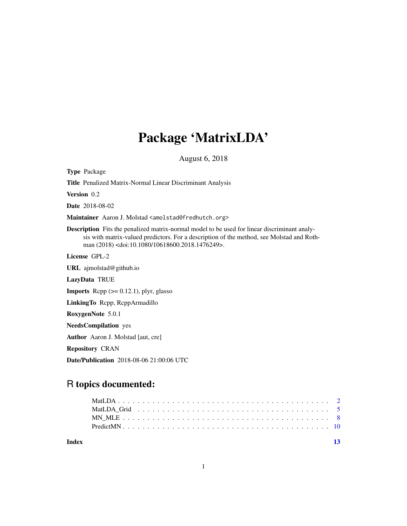## Package 'MatrixLDA'

August 6, 2018

Type Package

Title Penalized Matrix-Normal Linear Discriminant Analysis

Version 0.2

Date 2018-08-02

Maintainer Aaron J. Molstad <amolstad@fredhutch.org>

Description Fits the penalized matrix-normal model to be used for linear discriminant analysis with matrix-valued predictors. For a description of the method, see Molstad and Rothman (2018) <doi:10.1080/10618600.2018.1476249>.

License GPL-2

URL ajmolstad@github.io

LazyData TRUE

**Imports** Rcpp  $(>= 0.12.1)$ , plyr, glasso

LinkingTo Rcpp, RcppArmadillo

RoxygenNote 5.0.1

NeedsCompilation yes

Author Aaron J. Molstad [aut, cre]

Repository CRAN

Date/Publication 2018-08-06 21:00:06 UTC

### R topics documented:

**Index** [13](#page-12-0)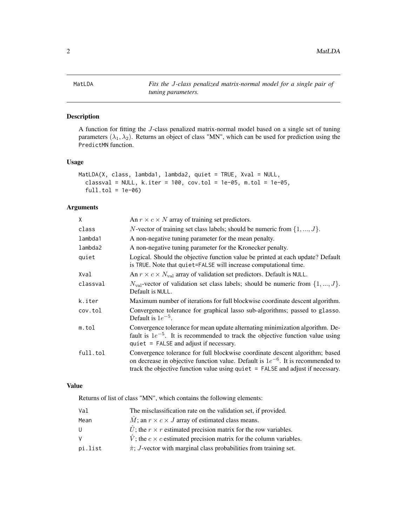<span id="page-1-0"></span>

#### Description

A function for fitting the J-class penalized matrix-normal model based on a single set of tuning parameters  $(\lambda_1, \lambda_2)$ . Returns an object of class "MN", which can be used for prediction using the PredictMN function.

#### Usage

```
MatLDA(X, class, lambda1, lambda2, quiet = TRUE, Xval = NULL,
  classval = NULL, k.iter = 100, cov.tol = 1e-05, m.tol = 1e-05,full.tol = 1e-06
```
#### Arguments

| X        | An $r \times c \times N$ array of training set predictors.                                                                                                                                                                                                |
|----------|-----------------------------------------------------------------------------------------------------------------------------------------------------------------------------------------------------------------------------------------------------------|
| class    | <i>N</i> -vector of training set class labels; should be numeric from $\{1, , J\}$ .                                                                                                                                                                      |
| lambda1  | A non-negative tuning parameter for the mean penalty.                                                                                                                                                                                                     |
| lambda2  | A non-negative tuning parameter for the Kronecker penalty.                                                                                                                                                                                                |
| quiet    | Logical. Should the objective function value be printed at each update? Default<br>is TRUE. Note that quiet=FALSE will increase computational time.                                                                                                       |
| Xval     | An $r \times c \times N_{\text{val}}$ array of validation set predictors. Default is NULL.                                                                                                                                                                |
| classval | $N_{\text{val}}$ -vector of validation set class labels; should be numeric from $\{1, , J\}$ .<br>Default is NULL.                                                                                                                                        |
| k.iter   | Maximum number of iterations for full blockwise coordinate descent algorithm.                                                                                                                                                                             |
| cov.tol  | Convergence tolerance for graphical lasso sub-algorithms; passed to glasso.<br>Default is $1e^{-5}$ .                                                                                                                                                     |
| m.tol    | Convergence tolerance for mean update alternating minimization algorithm. De-<br>fault is $1e^{-5}$ . It is recommended to track the objective function value using<br>$quite = FALSE and adjust if necessary.$                                           |
| full.tol | Convergence tolerance for full blockwise coordinate descent algorithm; based<br>on decrease in objective function value. Default is $1e^{-6}$ . It is recommended to<br>track the objective function value using quiet $=$ FALSE and adjust if necessary. |
|          |                                                                                                                                                                                                                                                           |

#### Value

Returns of list of class "MN", which contains the following elements:

| Val     | The misclassification rate on the validation set, if provided.                      |
|---------|-------------------------------------------------------------------------------------|
| Mean    | $\tilde{M}$ ; an $r \times c \times J$ array of estimated class means.              |
| U       | $\hat{U}$ ; the $r \times r$ estimated precision matrix for the row variables.      |
| V       | $\hat{V}$ ; the $c \times c$ estimated precision matrix for the column variables.   |
| pi.list | $\hat{\pi}$ ; <i>J</i> -vector with marginal class probabilities from training set. |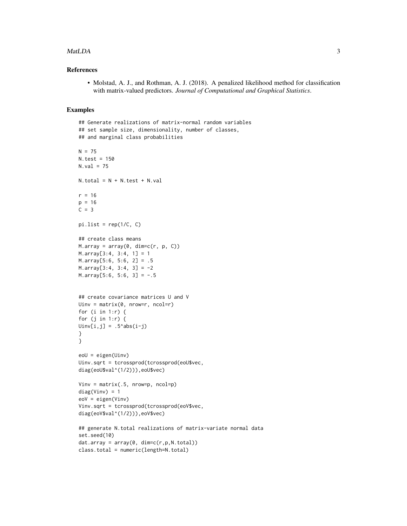#### $\text{Mat}$

#### References

• Molstad, A. J., and Rothman, A. J. (2018). A penalized likelihood method for classification with matrix-valued predictors. *Journal of Computational and Graphical Statistics*.

```
## Generate realizations of matrix-normal random variables
## set sample size, dimensionality, number of classes,
## and marginal class probabilities
N = 75N.test = 150
N.val = 75N.total = N + N.test + N.val
r = 16p = 16C = 3pi.list = rep(1/C, C)## create class means
M.array = array(0, dim=c(r, p, C))M.array[3:4, 3:4, 1] = 1
M.array[5:6, 5:6, 2] = .5M.array[3:4, 3:4, 3] = -2M.array[5:6, 5:6, 3] = -.5## create covariance matrices U and V
Uinv = matrix(\emptyset, nrow=r, ncol=r)for (i in 1:r) {
for (j in 1:r) \{Uinv[i,j] = .5^*abs(i-j)}
}
eoU = eigen(Uinv)
Uinv.sqrt = tcrossprod(tcrossprod(eoU$vec,
diag(eoU$val^(1/2))),eoU$vec)
Vinv = matrix(.5, nrow=p, ncol=p)diag(Vinv) = 1eoV = eigen(Vinv)
Vinv.sqrt = tcrossprod(tcrossprod(eoV$vec,
diag(eoV$val^(1/2))),eoV$vec)
## generate N.total realizations of matrix-variate normal data
set.seed(10)
dat.array = array(0, dim=c(r,p,N.total))class.total = numeric(length=N.total)
```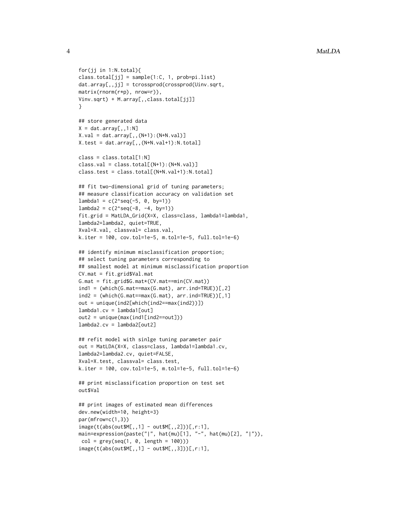```
for(jj in 1:N.total){
class.total[jj] = sample(1:C, 1, prob=pi.list)
dat.array[,,jj] = tcrossprod(crossprod(Uinv.sqrt,
matrix(rnorm(r*p), nrow=r)),
Vinv.sqrt) + M.array[,,class.total[jj]]
}
## store generated data
X = dat.array[, .1:N]X.val = dat.array[,, (N+1):(N+N.val)X.test = dat.array[,,(N+N.val+1):N.total]
class = class.total[1:N]
class.val = class.total[(N+1):(N+N.val)]class.test = class.total[(N+N.val+1):N.total]
## fit two-dimensional grid of tuning parameters;
## measure classification accuracy on validation set
lambda1 = c(2 \text{seq}(-5, 0, by=1))lambda2 = c(2 \text{seq}(-8, -4, by=1))fit.grid = MatLDA_Grid(X=X, class=class, lambda1=lambda1,
lambda2=lambda2, quiet=TRUE,
Xval=X.val, classval= class.val,
k.iter = 100, cov.tol=1e-5, m.tol=1e-5, full.tol=1e-6)
## identify minimum misclassification proportion;
## select tuning parameters corresponding to
## smallest model at minimum misclassification proportion
CV.mat = fit.grid$Val.mat
G.mat = fit.grid$G.mat*(CV.mat==min(CV.mat))
ind1 = (which(G.math == max(G.math), arr.int = TRUE))[2]ind2 = (which(G.math == max(G.math), arr.ind = TRUE))[1]out = unique(ind2[which(ind2==max(ind2))])
lambda1.cv = lambda1[out]
out2 = unique(max(ind1[ind2==out]))
lambda2.cv = lambda2[out2]
## refit model with sinlge tuning parameter pair
out = MatLDA(X=X, class=class, lambda1=lambda1.cv,
lambda2=lambda2.cv, quiet=FALSE,
Xval=X.test, classval= class.test,
k.iter = 100, cov.tol=1e-5, m.tol=1e-5, full.tol=1e-6)
## print misclassification proportion on test set
out$Val
## print images of estimated mean differences
```

```
dev.new(width=10, height=3)
par(mfrow=c(1,3))
image(t(abs(out$M[,,1] - out$M[,,2]))[,r:1],
main=expression(paste("|", hat(mu)[1], "-", hat(mu)[2], "|")),
col = grey(seq(1, 0, length = 100)))image(t(abs(out$M[,,1] - out$M[,,3]))[,r:1],
```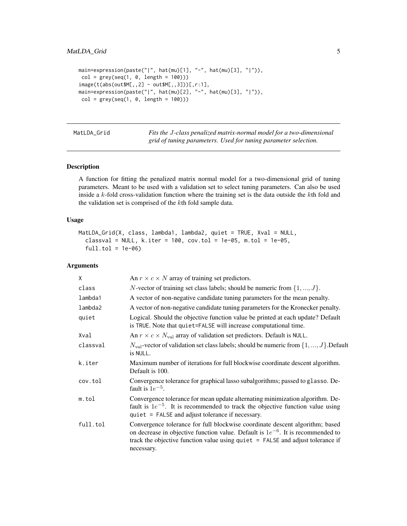```
main = expression(paste("|", hat(mu)[1], "-", hat(mu)[3], "|")),
col = grey(seq(1, 0, length = 100))image(t(abs(out$M[,,2] - out$M[,,3]))[,r:1],
main=expression(paste("|", hat(mu)[2], "-", hat(mu)[3], "|")),
col = grey(seq(1, 0, length = 100))
```
MatLDA\_Grid *Fits the* J*-class penalized matrix-normal model for a two-dimensional grid of tuning parameters. Used for tuning parameter selection.*

#### Description

A function for fitting the penalized matrix normal model for a two-dimensional grid of tuning parameters. Meant to be used with a validation set to select tuning parameters. Can also be used inside a  $k$ -fold cross-validation function where the training set is the data outside the  $k$ th fold and the validation set is comprised of the kth fold sample data.

#### Usage

```
MatLDA_Grid(X, class, lambda1, lambda2, quiet = TRUE, Xval = NULL,
  classval = NULL, k.iter = 100, cov.tol = 1e-05, m.tol = 1e-05,
  full.tol = 1e-06
```
#### Arguments

| X        | An $r \times c \times N$ array of training set predictors.                                                                                                                                                                                                             |
|----------|------------------------------------------------------------------------------------------------------------------------------------------------------------------------------------------------------------------------------------------------------------------------|
| class    | <i>N</i> -vector of training set class labels; should be numeric from $\{1, , J\}$ .                                                                                                                                                                                   |
| lambda1  | A vector of non-negative candidate tuning parameters for the mean penalty.                                                                                                                                                                                             |
| lambda2  | A vector of non-negative candidate tuning parameters for the Kronecker penalty.                                                                                                                                                                                        |
| quiet    | Logical. Should the objective function value be printed at each update? Default<br>is TRUE. Note that quiet=FALSE will increase computational time.                                                                                                                    |
| Xval     | An $r \times c \times N_{\text{val}}$ array of validation set predictors. Default is NULL.                                                                                                                                                                             |
| classval | $N_{\text{val}}$ -vector of validation set class labels; should be numeric from $\{1, , J\}$ . Default<br>is NULL.                                                                                                                                                     |
| k.iter   | Maximum number of iterations for full blockwise coordinate descent algorithm.<br>Default is 100.                                                                                                                                                                       |
| cov.tol  | Convergence tolerance for graphical lasso subalgorithms; passed to glasso. De-<br>fault is $1e^{-5}$ .                                                                                                                                                                 |
| m.tol    | Convergence tolerance for mean update alternating minimization algorithm. De-<br>fault is $1e^{-5}$ . It is recommended to track the objective function value using<br>quiet = FALSE and adjust tolerance if necessary.                                                |
| full.tol | Convergence tolerance for full blockwise coordinate descent algorithm; based<br>on decrease in objective function value. Default is $1e^{-6}$ . It is recommended to<br>track the objective function value using quiet $=$ FALSE and adjust tolerance if<br>necessary. |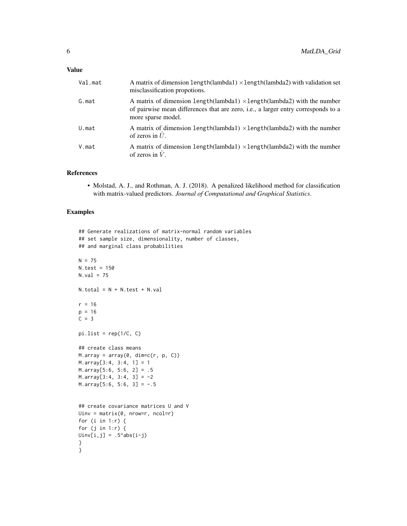| Val.mat | A matrix of dimension $length(lambda) \times length(lambda2)$ with validation set<br>misclassification propotions.                                                                                |
|---------|---------------------------------------------------------------------------------------------------------------------------------------------------------------------------------------------------|
| G.mat   | A matrix of dimension length(lambda1) $\times$ length(lambda2) with the number<br>of pairwise mean differences that are zero, <i>i.e.</i> , a larger entry corresponds to a<br>more sparse model. |
| U.mat   | A matrix of dimension length(lambda1) $\times$ length(lambda2) with the number<br>of zeros in $\hat{U}$ .                                                                                         |
| V.mat   | A matrix of dimension length(lambda1) $\times$ length(lambda2) with the number<br>of zeros in $\hat{V}$ .                                                                                         |

#### References

• Molstad, A. J., and Rothman, A. J. (2018). A penalized likelihood method for classification with matrix-valued predictors. *Journal of Computational and Graphical Statistics*.

```
## Generate realizations of matrix-normal random variables
## set sample size, dimensionality, number of classes,
## and marginal class probabilities
N = 75N.test = 150
N.val = 75N.total = N + N.test + N.val
r = 16p = 16C = 3pi.list = rep(1/C, C)
## create class means
M.array = array(0, dim=c(r, p, C))M.array[3:4, 3:4, 1] = 1
M.array[5:6, 5:6, 2] = .5M.array[3:4, 3:4, 3] = -2M.array[5:6, 5:6, 3] = -.5## create covariance matrices U and V
Uinv = matrix(0, nrow=r, ncol=r)
for (i in 1:r) {
for (j in 1:r) {
Uinv[i,j] = .5^*abs(i-j)}
}
```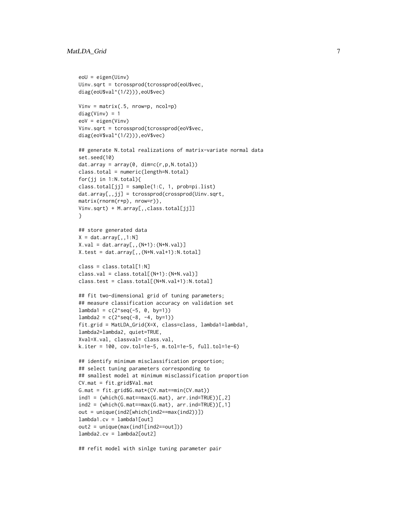```
eoU = eigen(Uinv)
Uinv.sqrt = tcrossprod(tcrossprod(eoU$vec,
diag(eoU$val^(1/2))),eoU$vec)
Vinv = matrix(.5, nrow=p, ncol=p)diag(Vinv) = 1eoV = eigen(Vinv)
Vinv.sqrt = tcrossprod(tcrossprod(eoV$vec,
diag(eoV$val^(1/2))),eoV$vec)
## generate N.total realizations of matrix-variate normal data
set.seed(10)
dat.array = array(0, dim=c(r,p,N.total))class.total = numeric(length=N.total)
for(jj in 1:N.total){
class.total[jj] = sample(1:C, 1, prob=pi.list)
dat.array[,,jj] = tcrossprod(crossprod(Uinv.sqrt,
matrix(rnorm(r*p), nrow=r)),
Vinv.sqrt) + M.array[,,class.total[jj]]
}
## store generated data
X = dat.array[, , 1:N]X.val = dat.array[,,(N+1):(N+N.val)]
X.test = dat.array[,,(N+N.val+1):N.total]
class = class.total[1:N]
class.val = class.total[(N+1):(N+N.val)]
class.test = class.total[(N+N.val+1):N.total]
## fit two-dimensional grid of tuning parameters;
## measure classification accuracy on validation set
lambda1 = c(2 \text{seq}(-5, 0, by=1))lambda2 = c(2 \text{seq}(-8, -4, by=1))fit.grid = MatLDA_Grid(X=X, class=class, lambda1=lambda1,
lambda2=lambda2, quiet=TRUE,
Xval=X.val, classval= class.val,
k.iter = 100, cov.tol=1e-5, m.tol=1e-5, full.tol=1e-6)
## identify minimum misclassification proportion;
## select tuning parameters corresponding to
## smallest model at minimum misclassification proportion
CV.mat = fit.grid$Val.mat
G.mat = fit.grid$G.mat*(CV.mat==min(CV.mat))
ind1 = (which(G.math == max(G.math), arr.int = TRUE))[2]ind2 = (which(G.math == max(G.math), arr.int = TRUE))[1]out = unique(ind2[which(ind2==max(ind2))])
lambda1.cv = lambda1[out]
out2 = unique(max(ind1[ind2==out]))
lambda2.cv = lambda2[out2]
```
## refit model with sinlge tuning parameter pair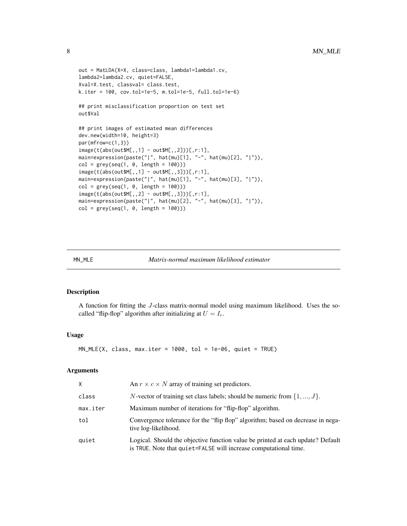```
out = MatLDA(X=X, class=class, lambda1=lambda1.cv,
lambda2=lambda2.cv, quiet=FALSE,
Xval=X.test, classval= class.test,
k.iter = 100, cov.tol=1e-5, m.tol=1e-5, full.tol=1e-6)
## print misclassification proportion on test set
out$Val
## print images of estimated mean differences
dev.new(width=10, height=3)
par(mfrow=c(1,3))
image(t(abs(out$M[,,1] - out$M[,,2]))[,r:1],
main=expression(paste("|", hat(mu)[1], "-", hat(mu)[2], "|")),
col = grey(seq(1, 0, length = 100)))image(t(abs(out$M[,,1] - out$M[,,3]))[,r:1],
main=expression(paste("|", hat(mu)[1], "-", hat(mu)[3], "|")),
col = grey(seq(1, 0, length = 100)))image(t(abs(out$M[,,2] - out$M[,,3]))[,r:1],
main=expression(paste("|", hat(mu)[2], "-", hat(mu)[3], "|")),
col = grey(seq(1, 0, length = 100)))
```

| MN MLE | Matrix-normal maximum likelihood estimator |  |  |
|--------|--------------------------------------------|--|--|
|        |                                            |  |  |

#### Description

A function for fitting the J-class matrix-normal model using maximum likelihood. Uses the socalled "flip-flop" algorithm after initializing at  $U = I_r$ .

#### Usage

```
MN\_MLE(X, class, max.iter = 1000, tol = 1e-06, quiet = TRUE)
```
#### Arguments

| X        | An $r \times c \times N$ array of training set predictors.                                                                                          |
|----------|-----------------------------------------------------------------------------------------------------------------------------------------------------|
| class    | <i>N</i> -vector of training set class labels; should be numeric from $\{1, , J\}$ .                                                                |
| max.iter | Maximum number of iterations for "flip-flop" algorithm.                                                                                             |
| tol      | Convergence tolerance for the "flip flop" algorithm; based on decrease in nega-<br>tive log-likelihood.                                             |
| quiet    | Logical. Should the objective function value be printed at each update? Default<br>is TRUE. Note that quiet=FALSE will increase computational time. |

<span id="page-7-0"></span>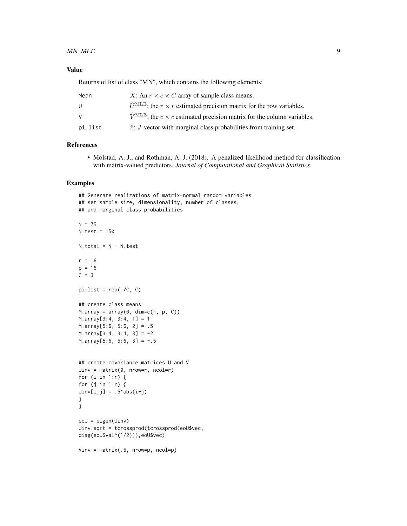#### Value

Returns of list of class "MN", which contains the following elements:

| Mean    | X; An $r \times c \times C$ array of sample class means.                                       |
|---------|------------------------------------------------------------------------------------------------|
| U       | $\hat{U}^{\text{MLE}}$ ; the $r \times r$ estimated precision matrix for the row variables.    |
| V       | $\hat{V}^{\text{MLE}}$ ; the $c \times c$ estimated precision matrix for the column variables. |
| pi.list | $\hat{\pi}$ ; <i>J</i> -vector with marginal class probabilities from training set.            |

#### References

• Molstad, A. J., and Rothman, A. J. (2018). A penalized likelihood method for classification with matrix-valued predictors. *Journal of Computational and Graphical Statistics*.

```
## Generate realizations of matrix-normal random variables
## set sample size, dimensionality, number of classes,
## and marginal class probabilities
N = 75N.test = 150
N.total = N + N.test
r = 16p = 16C = 3pi.list = rep(1/C, C)
## create class means
M.array = array(0, dim=c(r, p, C))M.array[3:4, 3:4, 1] = 1
M.array[5:6, 5:6, 2] = .5
M.array[3:4, 3:4, 3] = -2
M.array[5:6, 5:6, 3] = -.5## create covariance matrices U and V
Uinv = matrix(\emptyset, nrow=r, ncol=r)for (i in 1:r) {
for (j in 1:r) {
Uinv[i,j] = .5^*abs(i-j)}
}
eoU = eigen(Uinv)
Uinv.sqrt = tcrossprod(tcrossprod(eoU$vec,
diag(eoU$val^(1/2))),eoU$vec)
Vinv = matrix(.5, nrow=p, ncol=p)
```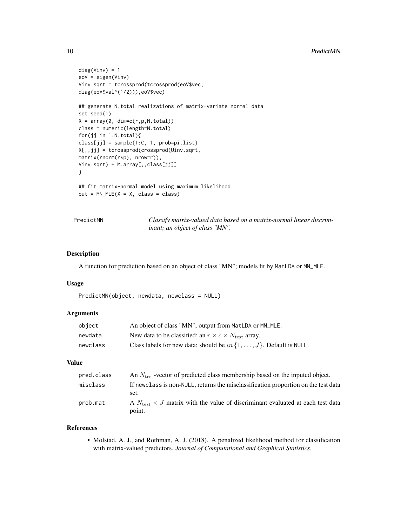```
diag(Vinv) = 1eoV = eigen(Vinv)
Vinv.sqrt = tcrossprod(tcrossprod(eoV$vec,
diag(eoV$val^(1/2))),eoV$vec)
## generate N.total realizations of matrix-variate normal data
set.seed(1)
X = array(0, dim=c(r,p,N.total))class = numeric(length=N.total)
for(jj in 1:N.total){
class[jj] = sample(1:C, 1, prob=pi.list)
X[,,jj] = tcrossprod(crossprod(Uinv.sqrt,
matrix(rnorm(r*p), nrow=r)),
Vinv.sqrt) + M.array[,,class[jj]]
}
## fit matrix-normal model using maximum likelihood
out = MM_MLE(X = X, class = class)
```
PredictMN *Classify matrix-valued data based on a matrix-normal linear discriminant; an object of class "MN".*

#### Description

A function for prediction based on an object of class "MN"; models fit by MatLDA or MN\_MLE.

#### Usage

```
PredictMN(object, newdata, newclass = NULL)
```
#### Arguments

| object   | An object of class "MN"; output from MatLDA or MN_MLE.                        |
|----------|-------------------------------------------------------------------------------|
| newdata  | New data to be classified; an $r \times c \times N_{\text{test}}$ array.      |
| newclass | Class labels for new data; should be $in \{1, \ldots, J\}$ . Default is NULL. |

#### Value

| pred.class | An $N_{\text{test}}$ -vector of predicted class membership based on the inputed object.                  |
|------------|----------------------------------------------------------------------------------------------------------|
| misclass   | If newclass is non-NULL, returns the misclassification proportion on the test data<br>set.               |
| prob.mat   | A $N_{\text{test}} \times J$ matrix with the value of discriminant evaluated at each test data<br>point. |

#### References

• Molstad, A. J., and Rothman, A. J. (2018). A penalized likelihood method for classification with matrix-valued predictors. *Journal of Computational and Graphical Statistics*.

<span id="page-9-0"></span>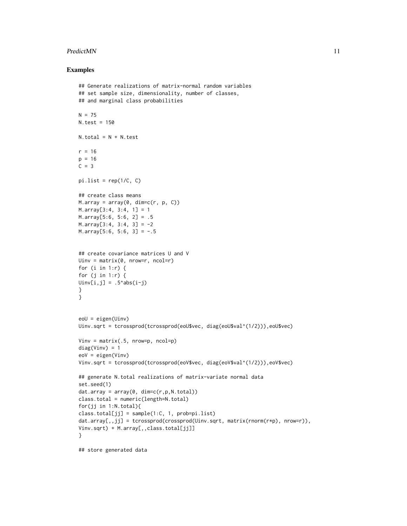#### PredictMN 11

```
## Generate realizations of matrix-normal random variables
## set sample size, dimensionality, number of classes,
## and marginal class probabilities
N = 75N.test = 150
N. total = N + N. test
r = 16p = 16C = 3pi.list = rep(1/C, C)
## create class means
M.array = array(0, dim=c(r, p, C))M.array[3:4, 3:4, 1] = 1
M.array[5:6, 5:6, 2] = .5M.array[3:4, 3:4, 3] = -2M.array[5:6, 5:6, 3] = -.5## create covariance matrices U and V
Uinv = matrix(0, nrow=r, ncol=r)for (i in 1:r) {
for (j in 1:r) \{Uinv[i,j] = .5^*abs(i-j)}
}
eoU = eigen(Uinv)
Uinv.sqrt = tcrossprod(tcrossprod(eoU$vec, diag(eoU$val^(1/2))),eoU$vec)
Vinv = matrix(.5, nrow=p, ncol=p)diag(Vinv) = 1eoV = eigen(Vinv)
Vinv.sqrt = tcrossprod(tcrossprod(eoV$vec, diag(eoV$val^(1/2))),eoV$vec)
## generate N.total realizations of matrix-variate normal data
set.seed(1)
dat.array = array(0, dim=c(r,p,N.total))class.total = numeric(length=N.total)
for(jj in 1:N.total){
class.total[jj] = sample(1:C, 1, prob=pi.list)dat.array[,,jj] = tcrossprod(crossprod(Uinv.sqrt, matrix(rnorm(r*p), nrow=r)),
Vinv.sqrt) + M.array[,,class.total[jj]]
}
## store generated data
```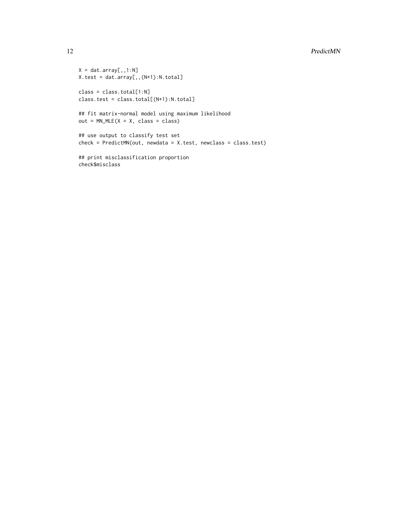```
X = \text{dat.array}[, , 1:N]X.test = dat.array[,,(N+1):N.total]
class = class.total[1:N]
class.test = class.total[(N+1):N.total]## fit matrix-normal model using maximum likelihood
out = MM_MLE(X = X, class = class)## use output to classify test set
check = PredictMN(out, newdata = X.test, newclass = class.test)
```

```
## print misclassification proportion
check$misclass
```